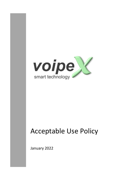

# Acceptable Use Policy

January 2022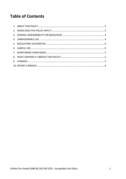#### **Table of Contents**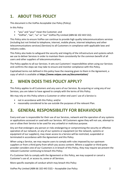# **1. ABOUT THIS POLICY**

This document is the VoIPex Acceptable Use Policy (Policy).

In this Policy

- "you" and "your" mean the Customer; and
- "VoIPex", "we", "us" or "our" VoIPex Pty Limited (ABN 66 102 443 532).

This Policy aims to ensure VoIPex can continue to provide high quality telecommunications services (including but not limited to telephone, internet, mobile phone, internet telephony and other telecommunications services) (Services) to all Customers in compliance with applicable laws and industry codes.

This Policy also looks to safeguard the security and integrity of the infrastructure and systems which we use to deliver Services in order to maintain them consistently for the common benefit of all users and other suppliers of telecommunications.

The Policy applies to all our Services. It sets out Customers' responsibilities when using our Services and confirms the steps we may take to ensure and monitor compliance with this Policy.

Capitalised terms not defined in this policy have the meaning given to them in the Agreement, a copy of which is available at **https://www.voipex.com.au/documentation/**

### **2. WHEN DOES THIS POLICY APPLY?**

This Policy applies to all Customers and any users of our Services. By acquiring or using any of our Services, you are taken to have agreed to comply with the terms of this Policy.

We may rely on this Policy where a Customer or other end users' use of a Service is:

- not in accordance with this Policy; and/or
- reasonably considered to be use outside the purposes of the relevant Plan.

#### **3. GENERAL RESPONSIBILITY FOR BEHAVIOUR**

Every end user is responsible for their use of our Services, network and the operation of any systems or applications accessed or used with our Services. All Customers agree they will not use, attempt to use or allow their Service to be used for any unlawful or malicious purpose.

Any act that endangers any person or risks endangering or compromising the security or effective operation of our network, or any of our systems or equipment (or the network, systems or equipment of our suppliers), may mean access to a Service will be restricted, suspended or terminated in accordance with the Agreement and this Policy.

When using a Service, we may require users to comply with rules imposed by our upstream suppliers or from a third party from which you access content. Where a supplier or third-party provider considers one of our Customers is in breach of this Policy, they may require we prevent the relevant Customer continuing to breach this Policy.

If a Customer fails to comply with the Agreement or this Policy, we may suspend or cancel a Customer's use of, or access to, some or all Services.

More specific examples of conduct which may breach this Policy

VoIPex Pty Limited (ABN 66 102 443 532) – Acceptable Use Policy 2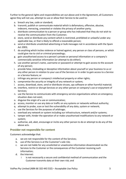Further to the general rights and responsibilities set out above and in the Agreement, all Customers agree they will not use, attempt to use or allow their Service to be used to:

- a. breach any law, code or standard;
- b. transmit, publish or communicate material which is defamatory, offensive, abusive, indecent, menacing, unwanted or violates the privacy of another party;
- c. distribute communication to a person or group who has indicated that they do not wish to receive the communication from the Customer;
- d. store, send or distribute any content which is restricted, prohibited or unlawful under any applicable law, or that is likely to offend a reasonable person;
- e. send or distribute unsolicited advertising or bulk messages not in accordance with the Spam Act 2003;
- f. do anything which incites violence or hatred against, any person or class of persons, or which could give rise to civil or criminal proceedings;
- g. gain unauthorised access to a person's private or personal information or a company's commercially sensitive information (or attempt to do either);
- h. use another person's name, username or password or attempt to gain access to the account of any person;
- i. provide false, misleading or deceptive information about yourself or your business to us or any other person in relation to your use of the Services or in order to gain access to a Service or a Service feature; or
- j. infringe any person or company's intellectual property or other rights;
- k. compromise the security or integrity of any network or system;
- l. access, download, store, send or distribute viruses, spy software or other harmful material;
- m. interfere, restrict or disrupt Services or any other person or company's use or enjoyment of Services;
- n. use the Service to communicate with emergency service organisations where an emergency situation does not exist;
- o. disguise the origin of a use or communication;
- p. access, monitor or use any data or traffic on any systems or networks without authority;
- q. attempt to probe, scan or test the vulnerability of any data, system or network;
- r. use the Services for the purposes of arbitrage;
- s. overload any network or system including our infrastructure, network and/or systems;
- t. tamper with, hinder the operation of or make unauthorised modifications to any network or system;
- u. authorise, aid, abet, encourage or incite any other person to do or attempt to do any of the above acts.

#### **Provider not responsible for content**

Customers acknowledge that:

- a. we are not responsible for the content of the Services;
- b. use of the Services is at the Customer's sole risk;
- c. we are not liable for any unsolicited or unwelcome information disseminated via the Services to the Customer or the consequences of the Customer receiving such information;
- d. the Internet:
	- is not necessarily a secure and confidential method of communication and the Customer transmits data at their own risk; and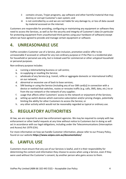- ii contains viruses, Trojan programs, spy software and other harmful material that may destroy or corrupt Customer's own system; and
- iii is not controlled by us and we are not liable for any damage to, or loss of data caused by material accessed on the internet.

Customers are responsible for providing, configuring or maintaining any equipment or software they need to access the Services, as well as for the security and integrity of Customer's data (in particular for protecting equipment from unauthorised third parties using your hardware of software) except where we have agreed to provide and manage certain equipment or software.

#### **4. UNREASONABLE USE**

VoIPex considers Customer use of a Service, plan inclusion, promotion and/or offer to be unreasonable if accessed or utilised for any non-ordinary purpose or if the Plan is a residential plan for household or personal use only, but is instead used for commercial or other untypical household or personal purposes.

Non-ordinary purpose includes:

- a. running a telemarketing business or call centre;
- b. re-supplying or reselling the Service;
- c. wholesale of any Service (e.g. transit, refile or aggregate domestic or international traffic) on our network;
- d. abnormal or excessive use of back to base services;
- e. SIM boxing or using the Service (including any of our SIM card(s)) in connection with a device or method that switches, routes or reroutes traffic (e.g. calls, SMS, data, etc.) to or from the our network or the network of any supplier;
- f. usage that affects other Customers' access to the network or enjoyment of the Services;
- g. setting up switch devices which overcome subscription and/or pricing charges, potentially limiting the ability for other Customers to access the Service; or
- h. any other activity which would not be reasonably regarded as typical or ordinary use.

#### **5. REGULATORY AUTHORITIES**

At law, we are required to assist law enforcement agencies. We may be required to comply with law enforcement or other lawful requests at any time without notice to Customers but in doing so will act in accordance with our legal obligations, including under the Telecommunications (Interception and Access) Act 1979 (Cth).

For more information on how we handle Customer information, please refer to our Privacy Policy, found on our website **https://www.voipex.com.au/documentation/**

#### **6. LAWFUL USE**

Customers must ensure that any use of our Services is lawful, and it is their responsibility for determining the content and information they choose to access when using a Service, even if they were used without the Customer's consent, by another person who gains access to them.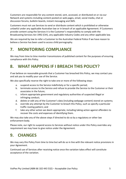Customers are responsible for any content stored, sent, accessed, or distributed on or via our Network and systems including content posted on web pages, email, social media, chat or discussion forums, bulletin boards, instant messaging and SMS.

Customers must not use Services to send or distribute content which is prohibited or otherwise unlawful under any applicable Australian law or in breach of an applicable Agreement. If Customers provide content using the Services it is the Customer's responsibility to comply with the Broadcasting Services Act 1992 (Cth), any applicable Industry Codes and any other applicable law.

We are required by law to refer a Customer to the Australian Federal Police if we have reason to believe a Service has been used to access child pornography.

## **7. MONITORING COMPLIANCE**

We may from time to time monitor transmissions of published content for the purposes of ensuring compliance with this Policy.

#### **8. WHAT HAPPENS IF I BREACH THIS POLICY?**

If we believe on reasonable grounds that a Customer has breached this Policy, we may contact you and ask you to modify your use of the Service.

We also specifically reserve the right to take one or more of the following steps:

- a. suspend access to the Service indefinitely or for a specific period;
- b. terminate access to the Service and refuse to provide the Service to the Customer or their associates in the future;
- c. inform appropriate government and regulatory authorities of suspected illegal or infringing conduct;
- d. delete or edit any of the Customer's data (including webpage content) stored on systems;
- e. override any attempt by the Customer to breach this Policy, such as specify a particular traffic routing pattern; and
- f. take any other action we deem appropriate, including taking action against offenders to recover the costs and expenses of identifying them.

We may also take any of the above steps if directed to do so by a regulatory or other law enforcement body.

Please note, our right to suspend access to Services without notice under this Policy overrides any requirement we may have to give notice under the Agreement.

#### **9. CHANGES**

We may vary this Policy from time to time but will do so in line with the relevant notice provisions in your Agreement.

Continued use of Services after receiving notice once the variation takes effect will constitute acceptance of the variation.